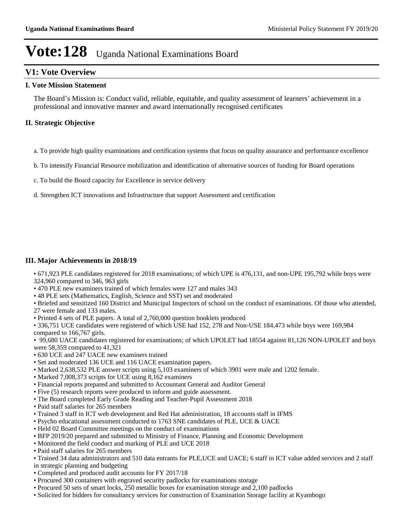#### **V1: Vote Overview**

#### **I. Vote Mission Statement**

The Board's Mission is: Conduct valid, reliable, equitable, and quality assessment of learners' achievement in a professional and innovative manner and award internationally recognised certificates

#### **II. Strategic Objective**

- a. To provide high quality examinations and certification systems that focus on quality assurance and performance excellence
- b. To intensify Financial Resource mobilization and identification of alternative sources of funding for Board operations
- c. To build the Board capacity for Excellence in service delivery
- d. Strengthen ICT innovations and Infrastructure that support Assessment and certification

#### **III. Major Achievements in 2018/19**

671,923 PLE candidates registered for 2018 examinations; of which UPE is 476,131, and non-UPE 195,792 while boys were 324,960 compared to 346, 963 girls

- 470 PLE new examiners trained of which females were 127 and males 343
- 48 PLE sets (Mathematics, English, Science and SST) set and moderated
- Briefed and sensitized 160 District and Municipal Inspectors of school on the conduct of examinations. Of those who attended, 27 were female and 133 males.
- Printed 4 sets of PLE papers. A total of 2,760,000 question booklets produced
- 336,751 UCE candidates were registered of which USE had 152, 278 and Non-USE 184,473 while boys were 169,984 compared to 166,767 girls.
- 99,680 UACE candidates registered for examinations; of which UPOLET had 18554 against 81,126 NON-UPOLET and boys were 58,359 compared to 41,321
- 630 UCE and 247 UACE new examiners trained
- Set and moderated 136 UCE and 116 UACE examination papers.
- Marked 2,638,532 PLE answer scripts using 5,103 examiners of which 3901 were male and 1202 female.
- Marked 7,008,373 scripts for UCE using 8,162 examiners
- Financial reports prepared and submitted to Accountant General and Auditor General
- Five (5) research reports were produced to inform and guide assessment.
- The Board completed Early Grade Reading and Teacher-Pupil Assessment 2018
- Paid staff salaries for 265 members
- Trained 3 staff in ICT web development and Red Hat administration, 18 accounts staff in IFMS
- Psycho educational assessment conducted to 1763 SNE candidates of PLE, UCE & UACE
- Held 02 Board Committee meetings on the conduct of examinations
- BFP 2019/20 prepared and submitted to Ministry of Finance, Planning and Economic Development
- Monitored the field conduct and marking of PLE and UCE 2018
- Paid staff salaries for 265 members
- Trained 34 data administrators and 510 data entrants for PLE,UCE and UACE; 6 staff in ICT value added services and 2 staff in strategic planning and budgeting
- Completed and produced audit accounts for FY 2017/18
- Procured 300 containers with engraved security padlocks for examinations storage
- Procured 50 sets of smart locks, 250 metallic boxes for examination storage and 2,100 padlocks
- Solicited for bidders for consultancy services for construction of Examination Storage facility at Kyambogo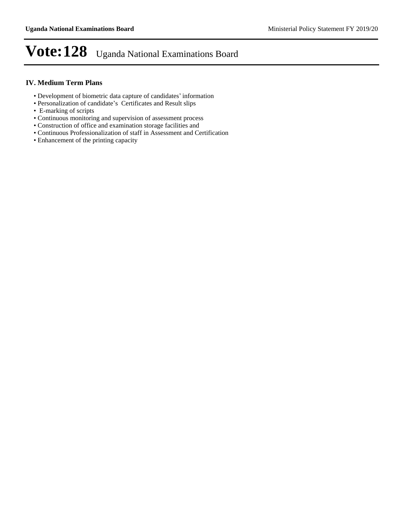#### **IV. Medium Term Plans**

- Development of biometric data capture of candidates' information
- Personalization of candidate's Certificates and Result slips
- E-marking of scripts
- Continuous monitoring and supervision of assessment process
- Construction of office and examination storage facilities and
- Continuous Professionalization of staff in Assessment and Certification
- Enhancement of the printing capacity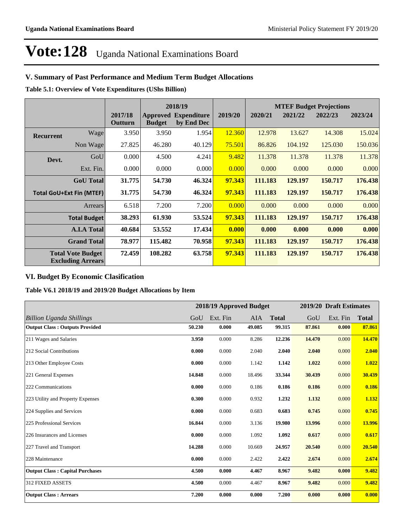#### **V. Summary of Past Performance and Medium Term Budget Allocations**

**Table 5.1: Overview of Vote Expenditures (UShs Billion)**

|                  |                                                      |                    | 2018/19       |                                           |         |         |         | <b>MTEF Budget Projections</b> |         |
|------------------|------------------------------------------------------|--------------------|---------------|-------------------------------------------|---------|---------|---------|--------------------------------|---------|
|                  |                                                      | 2017/18<br>Outturn | <b>Budget</b> | <b>Approved Expenditure</b><br>by End Dec | 2019/20 | 2020/21 | 2021/22 | 2022/23                        | 2023/24 |
| <b>Recurrent</b> | Wage                                                 | 3.950              | 3.950         | 1.954                                     | 12.360  | 12.978  | 13.627  | 14.308                         | 15.024  |
|                  | Non Wage                                             | 27.825             | 46.280        | 40.129                                    | 75.501  | 86.826  | 104.192 | 125.030                        | 150.036 |
| Devt.            | GoU                                                  | 0.000              | 4.500         | 4.241                                     | 9.482   | 11.378  | 11.378  | 11.378                         | 11.378  |
|                  | Ext. Fin.                                            | 0.000              | 0.000         | 0.000                                     | 0.000   | 0.000   | 0.000   | 0.000                          | 0.000   |
|                  | <b>GoU</b> Total                                     | 31.775             | 54.730        | 46.324                                    | 97.343  | 111.183 | 129.197 | 150.717                        | 176.438 |
|                  | <b>Total GoU+Ext Fin (MTEF)</b>                      | 31.775             | 54.730        | 46.324                                    | 97.343  | 111.183 | 129.197 | 150.717                        | 176.438 |
|                  | Arrears                                              | 6.518              | 7.200         | 7.200                                     | 0.000   | 0.000   | 0.000   | 0.000                          | 0.000   |
|                  | <b>Total Budget</b>                                  | 38.293             | 61.930        | 53.524                                    | 97.343  | 111.183 | 129.197 | 150.717                        | 176.438 |
|                  | <b>A.I.A Total</b>                                   | 40.684             | 53.552        | 17.434                                    | 0.000   | 0.000   | 0.000   | 0.000                          | 0.000   |
|                  | <b>Grand Total</b>                                   | 78.977             | 115.482       | 70.958                                    | 97.343  | 111.183 | 129.197 | 150.717                        | 176.438 |
|                  | <b>Total Vote Budget</b><br><b>Excluding Arrears</b> | 72.459             | 108.282       | 63.758                                    | 97.343  | 111.183 | 129.197 | 150.717                        | 176.438 |

#### **VI. Budget By Economic Clasification**

**Table V6.1 2018/19 and 2019/20 Budget Allocations by Item**

|                                        |        |          | 2018/19 Approved Budget |              |        | 2019/20 Draft Estimates |              |
|----------------------------------------|--------|----------|-------------------------|--------------|--------|-------------------------|--------------|
| <b>Billion Uganda Shillings</b>        | GoU    | Ext. Fin | AIA                     | <b>Total</b> | GoU    | Ext. Fin                | <b>Total</b> |
| <b>Output Class: Outputs Provided</b>  | 50.230 | 0.000    | 49.085                  | 99.315       | 87.861 | 0.000                   | 87.861       |
| 211 Wages and Salaries                 | 3.950  | 0.000    | 8.286                   | 12.236       | 14.470 | 0.000                   | 14.470       |
| 212 Social Contributions               | 0.000  | 0.000    | 2.040                   | 2.040        | 2.040  | 0.000                   | 2.040        |
| 213 Other Employee Costs               | 0.000  | 0.000    | 1.142                   | 1.142        | 1.022  | 0.000                   | 1.022        |
| 221 General Expenses                   | 14.848 | 0.000    | 18.496                  | 33.344       | 30.439 | 0.000                   | 30.439       |
| 222 Communications                     | 0.000  | 0.000    | 0.186                   | 0.186        | 0.186  | 0.000                   | 0.186        |
| 223 Utility and Property Expenses      | 0.300  | 0.000    | 0.932                   | 1.232        | 1.132  | 0.000                   | 1.132        |
| 224 Supplies and Services              | 0.000  | 0.000    | 0.683                   | 0.683        | 0.745  | 0.000                   | 0.745        |
| 225 Professional Services              | 16.844 | 0.000    | 3.136                   | 19.980       | 13.996 | 0.000                   | 13.996       |
| 226 Insurances and Licenses            | 0.000  | 0.000    | 1.092                   | 1.092        | 0.617  | 0.000                   | 0.617        |
| 227 Travel and Transport               | 14.288 | 0.000    | 10.669                  | 24.957       | 20.540 | 0.000                   | 20.540       |
| 228 Maintenance                        | 0.000  | 0.000    | 2.422                   | 2.422        | 2.674  | 0.000                   | 2.674        |
| <b>Output Class: Capital Purchases</b> | 4.500  | 0.000    | 4.467                   | 8.967        | 9.482  | 0.000                   | 9.482        |
| 312 FIXED ASSETS                       | 4.500  | 0.000    | 4.467                   | 8.967        | 9.482  | 0.000                   | 9.482        |
| <b>Output Class: Arrears</b>           | 7.200  | 0.000    | 0.000                   | 7.200        | 0.000  | 0.000                   | 0.000        |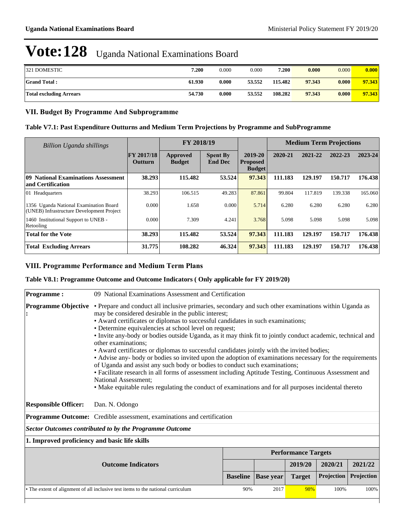| <b>321 DOMESTIC</b>            | 7.200  | 0.000 | 0.000  | 7.200   | 0.000  | 0.000 | 0.000  |
|--------------------------------|--------|-------|--------|---------|--------|-------|--------|
| <b>Grand Total:</b>            | 61.930 | 0.000 | 53.552 | 115.482 | 97.343 | 0.000 | 97.343 |
| <b>Total excluding Arrears</b> | 54.730 | 0.000 | 53.552 | 108.282 | 97.343 | 0.000 | 97.343 |

#### **VII. Budget By Programme And Subprogramme**

#### **Table V7.1: Past Expenditure Outturns and Medium Term Projections by Programme and SubProgramme**

| <b>Billion Uganda shillings</b>                                                     |                              | FY 2018/19                |                                   | <b>Medium Term Projections</b>              |         |         |         |         |
|-------------------------------------------------------------------------------------|------------------------------|---------------------------|-----------------------------------|---------------------------------------------|---------|---------|---------|---------|
|                                                                                     | <b>FY 2017/18</b><br>Outturn | Approved<br><b>Budget</b> | <b>Spent By</b><br><b>End Dec</b> | 2019-20<br><b>Proposed</b><br><b>Budget</b> | 2020-21 | 2021-22 | 2022-23 | 2023-24 |
| 09 National Examinations Assessment<br>and Certification                            | 38.293                       | 115.482                   | 53.524                            | 97.343                                      | 111.183 | 129.197 | 150.717 | 176.438 |
| 01 Headquarters                                                                     | 38.293                       | 106.515                   | 49.283                            | 87.861                                      | 99.804  | 117.819 | 139.338 | 165.060 |
| 1356 Uganda National Examination Board<br>(UNEB) Infrastructure Development Project | 0.000                        | 1.658                     | 0.000                             | 5.714                                       | 6.280   | 6.280   | 6.280   | 6.280   |
| 1460 Institutional Support to UNEB -<br>Retooling                                   | 0.000                        | 7.309                     | 4.241                             | 3.768                                       | 5.098   | 5.098   | 5.098   | 5.098   |
| <b>Total for the Vote</b>                                                           | 38.293                       | 115.482                   | 53.524                            | 97.343                                      | 111.183 | 129.197 | 150.717 | 176.438 |
| <b>Total Excluding Arrears</b>                                                      | 31.775                       | 108.282                   | 46.324                            | 97.343                                      | 111.183 | 129.197 | 150.717 | 176.438 |

#### **VIII. Programme Performance and Medium Term Plans**

#### **Table V8.1: Programme Outcome and Outcome Indicators ( Only applicable for FY 2019/20)**

| <b>Programme:</b>                                                                | 09 National Examinations Assessment and Certification                                                                                                                                                                                                                                                                                                                                                                                                                                                                                                                                                                                                                                                                                                                                                                                                                                                                                                                                                              |      |     |                            |         |         |  |  |  |
|----------------------------------------------------------------------------------|--------------------------------------------------------------------------------------------------------------------------------------------------------------------------------------------------------------------------------------------------------------------------------------------------------------------------------------------------------------------------------------------------------------------------------------------------------------------------------------------------------------------------------------------------------------------------------------------------------------------------------------------------------------------------------------------------------------------------------------------------------------------------------------------------------------------------------------------------------------------------------------------------------------------------------------------------------------------------------------------------------------------|------|-----|----------------------------|---------|---------|--|--|--|
|                                                                                  | <b>Programme Objective</b> • Prepare and conduct all inclusive primaries, secondary and such other examinations within Uganda as<br>may be considered desirable in the public interest;<br>• Award certificates or diplomas to successful candidates in such examinations;<br>• Determine equivalencies at school level on request;<br>• Invite any-body or bodies outside Uganda, as it may think fit to jointly conduct academic, technical and<br>other examinations;<br>• Award certificates or diplomas to successful candidates jointly with the invited bodies;<br>• Advise any- body or bodies so invited upon the adoption of examinations necessary for the requirements<br>of Uganda and assist any such body or bodies to conduct such examinations;<br>• Facilitate research in all forms of assessment including Aptitude Testing, Continuous Assessment and<br><b>National Assessment:</b><br>• Make equitable rules regulating the conduct of examinations and for all purposes incidental thereto |      |     |                            |         |         |  |  |  |
| <b>Responsible Officer:</b>                                                      | Dan. N. Odongo                                                                                                                                                                                                                                                                                                                                                                                                                                                                                                                                                                                                                                                                                                                                                                                                                                                                                                                                                                                                     |      |     |                            |         |         |  |  |  |
|                                                                                  | Programme Outcome: Credible assessment, examinations and certification                                                                                                                                                                                                                                                                                                                                                                                                                                                                                                                                                                                                                                                                                                                                                                                                                                                                                                                                             |      |     |                            |         |         |  |  |  |
|                                                                                  | <b>Sector Outcomes contributed to by the Programme Outcome</b>                                                                                                                                                                                                                                                                                                                                                                                                                                                                                                                                                                                                                                                                                                                                                                                                                                                                                                                                                     |      |     |                            |         |         |  |  |  |
| 1. Improved proficiency and basic life skills                                    |                                                                                                                                                                                                                                                                                                                                                                                                                                                                                                                                                                                                                                                                                                                                                                                                                                                                                                                                                                                                                    |      |     |                            |         |         |  |  |  |
|                                                                                  |                                                                                                                                                                                                                                                                                                                                                                                                                                                                                                                                                                                                                                                                                                                                                                                                                                                                                                                                                                                                                    |      |     | <b>Performance Targets</b> |         |         |  |  |  |
|                                                                                  | <b>Outcome Indicators</b>                                                                                                                                                                                                                                                                                                                                                                                                                                                                                                                                                                                                                                                                                                                                                                                                                                                                                                                                                                                          |      |     | 2019/20                    | 2020/21 | 2021/22 |  |  |  |
|                                                                                  | Projection<br>Projection<br><b>Baseline</b><br><b>Target</b><br><b>Base year</b>                                                                                                                                                                                                                                                                                                                                                                                                                                                                                                                                                                                                                                                                                                                                                                                                                                                                                                                                   |      |     |                            |         |         |  |  |  |
| • The extent of alignment of all inclusive test items to the national curriculum | 90%                                                                                                                                                                                                                                                                                                                                                                                                                                                                                                                                                                                                                                                                                                                                                                                                                                                                                                                                                                                                                | 2017 | 98% | 100%                       | 100%    |         |  |  |  |
|                                                                                  |                                                                                                                                                                                                                                                                                                                                                                                                                                                                                                                                                                                                                                                                                                                                                                                                                                                                                                                                                                                                                    |      |     |                            |         |         |  |  |  |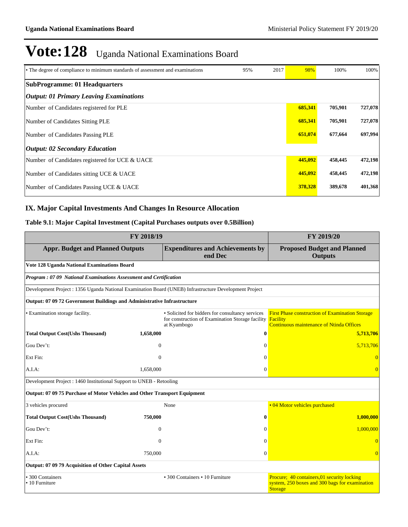| • The degree of compliance to minimum standards of assessment and examinations | 95% | 2017 | 98%     | 100%    | 100%    |
|--------------------------------------------------------------------------------|-----|------|---------|---------|---------|
| <b>SubProgramme: 01 Headquarters</b>                                           |     |      |         |         |         |
| <b>Output: 01 Primary Leaving Examinations</b>                                 |     |      |         |         |         |
| Number of Candidates registered for PLE                                        |     |      | 685,341 | 705,901 | 727,078 |
| Number of Candidates Sitting PLE                                               |     |      | 685,341 | 705,901 | 727,078 |
| Number of Candidates Passing PLE                                               |     |      | 651,074 | 677,664 | 697,994 |
| <b>Output: 02 Secondary Education</b>                                          |     |      |         |         |         |
| Number of Candidates registered for UCE & UACE                                 |     |      | 445,092 | 458,445 | 472,198 |
| Number of Candidates sitting UCE & UACE                                        |     |      | 445,092 | 458,445 | 472,198 |
| Number of Candidates Passing UCE & UACE                                        |     |      | 378,328 | 389,678 | 401,368 |

#### **IX. Major Capital Investments And Changes In Resource Allocation**

#### **Table 9.1: Major Capital Investment (Capital Purchases outputs over 0.5Billion)**

|                                                                           | FY 2019/20     |                                                                                                                     |                                                                                                                              |  |
|---------------------------------------------------------------------------|----------------|---------------------------------------------------------------------------------------------------------------------|------------------------------------------------------------------------------------------------------------------------------|--|
| <b>Appr. Budget and Planned Outputs</b>                                   |                | <b>Expenditures and Achievements by</b><br>end Dec                                                                  | <b>Proposed Budget and Planned</b><br><b>Outputs</b>                                                                         |  |
| Vote 128 Uganda National Examinations Board                               |                |                                                                                                                     |                                                                                                                              |  |
| Program: 07 09 National Examinations Assessment and Certification         |                |                                                                                                                     |                                                                                                                              |  |
|                                                                           |                | Development Project : 1356 Uganda National Examination Board (UNEB) Infrastructure Development Project              |                                                                                                                              |  |
| Output: 07 09 72 Government Buildings and Administrative Infrastructure   |                |                                                                                                                     |                                                                                                                              |  |
| · Examination storage facility.                                           |                | • Solicited for bidders for consultancy services<br>for construction of Examination Storage facility<br>at Kyambogo | <b>First Phase construction of Examination Storage</b><br><b>Facility</b><br><b>Continuous maintenance of Ntinda Offices</b> |  |
| <b>Total Output Cost(Ushs Thousand)</b>                                   | 1,658,000      | $\bf{0}$                                                                                                            | 5,713,706                                                                                                                    |  |
| Gou Dev't:                                                                | $\overline{0}$ | $\Omega$                                                                                                            | 5,713,706                                                                                                                    |  |
| Ext Fin:                                                                  | $\theta$       | $\Omega$                                                                                                            | $\Omega$                                                                                                                     |  |
| A.I.A:                                                                    | 1,658,000      | $\Omega$                                                                                                            | $\Omega$                                                                                                                     |  |
| Development Project : 1460 Institutional Support to UNEB - Retooling      |                |                                                                                                                     |                                                                                                                              |  |
| Output: 07 09 75 Purchase of Motor Vehicles and Other Transport Equipment |                |                                                                                                                     |                                                                                                                              |  |
| 3 vehicles procured                                                       |                | None                                                                                                                | • 04 Motor vehicles purchased                                                                                                |  |
| <b>Total Output Cost(Ushs Thousand)</b>                                   | 750,000        | $\mathbf{0}$                                                                                                        | 1.000.000                                                                                                                    |  |
| Gou Dev't:                                                                | $\Omega$       | $\Omega$                                                                                                            | 1.000.000                                                                                                                    |  |
| Ext Fin:                                                                  | $\theta$       | $\Omega$                                                                                                            | $\Omega$                                                                                                                     |  |
| A.I.A:                                                                    | 750,000        | $\Omega$                                                                                                            | $\Omega$                                                                                                                     |  |
| Output: 07 09 79 Acquisition of Other Capital Assets                      |                |                                                                                                                     |                                                                                                                              |  |
| • 300 Containers<br>• 10 Furniture                                        |                | • 300 Containers • 10 Furniture                                                                                     | Procure; 40 containers, 01 security locking<br>system, 250 boxes and 300 bags for examination<br><b>Storage</b>              |  |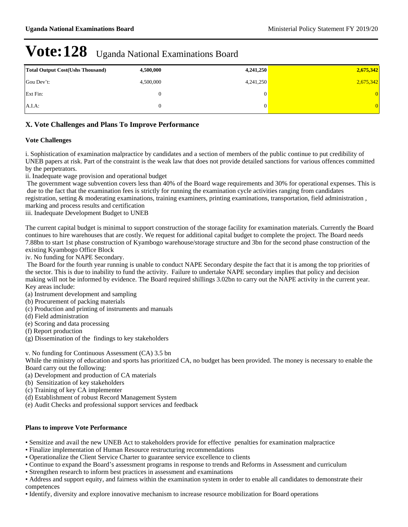| <b>Total Output Cost (Ushs Thousand)</b> | 4,500,000 | 4,241,250 | 2,675,342 |
|------------------------------------------|-----------|-----------|-----------|
| Gou Dev't:                               | 4,500,000 | 4,241,250 | 2,675,342 |
| Ext Fin:                                 |           |           | 0         |
| $A.I.A$ :                                |           |           | 0         |

#### **X. Vote Challenges and Plans To Improve Performance**

#### **Vote Challenges**

i. Sophistication of examination malpractice by candidates and a section of members of the public continue to put credibility of UNEB papers at risk. Part of the constraint is the weak law that does not provide detailed sanctions for various offences committed by the perpetrators.

ii. Inadequate wage provision and operational budget

 The government wage subvention covers less than 40% of the Board wage requirements and 30% for operational expenses. This is due to the fact that the examination fees is strictly for running the examination cycle activities ranging from candidates registration, setting & moderating examinations, training examiners, printing examinations, transportation, field administration , marking and process results and certification

iii. Inadequate Development Budget to UNEB

The current capital budget is minimal to support construction of the storage facility for examination materials. Currently the Board continues to hire warehouses that are costly. We request for additional capital budget to complete the project. The Board needs 7.88bn to start 1st phase construction of Kyambogo warehouse/storage structure and 3bn for the second phase construction of the existing Kyambogo Office Block

iv. No funding for NAPE Secondary.

 The Board for the fourth year running is unable to conduct NAPE Secondary despite the fact that it is among the top priorities of the sector. This is due to inability to fund the activity. Failure to undertake NAPE secondary implies that policy and decision making will not be informed by evidence. The Board required shillings 3.02bn to carry out the NAPE activity in the current year. Key areas include:

- (a) Instrument development and sampling
- (b) Procurement of packing materials
- (c) Production and printing of instruments and manuals
- (d) Field administration
- (e) Scoring and data processing
- (f) Report production
- (g) Dissemination of the findings to key stakeholders

v. No funding for Continuous Assessment (CA) 3.5 bn

While the ministry of education and sports has prioritized CA, no budget has been provided. The money is necessary to enable the Board carry out the following:

- (a) Development and production of CA materials
- (b) Sensitization of key stakeholders
- (c) Training of key CA implementer
- (d) Establishment of robust Record Management System
- (e) Audit Checks and professional support services and feedback

#### **Plans to improve Vote Performance**

- Sensitize and avail the new UNEB Act to stakeholders provide for effective penalties for examination malpractice
- Finalize implementation of Human Resource restructuring recommendations
- Operationalize the Client Service Charter to guarantee service excellence to clients
- Continue to expand the Board's assessment programs in response to trends and Reforms in Assessment and curriculum
- Strengthen research to inform best practices in assessment and examinations

Address and support equity, and fairness within the examination system in order to enable all candidates to demonstrate their competences

Identify, diversity and explore innovative mechanism to increase resource mobilization for Board operations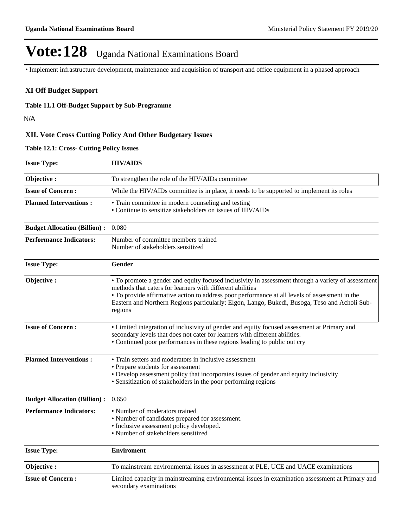Implement infrastructure development, maintenance and acquisition of transport and office equipment in a phased approach

#### **XI Off Budget Support**

#### **Table 11.1 Off-Budget Support by Sub-Programme**

N/A

#### **XII. Vote Cross Cutting Policy And Other Budgetary Issues**

**Table 12.1: Cross- Cutting Policy Issues**

| <b>Issue Type:</b>                  | <b>HIV/AIDS</b>                                                                                                                                                                                                                                                                                                                                                               |
|-------------------------------------|-------------------------------------------------------------------------------------------------------------------------------------------------------------------------------------------------------------------------------------------------------------------------------------------------------------------------------------------------------------------------------|
| Objective:                          | To strengthen the role of the HIV/AIDs committee                                                                                                                                                                                                                                                                                                                              |
| <b>Issue of Concern:</b>            | While the HIV/AIDs committee is in place, it needs to be supported to implement its roles                                                                                                                                                                                                                                                                                     |
| <b>Planned Interventions:</b>       | • Train committee in modern counseling and testing<br>• Continue to sensitize stakeholders on issues of HIV/AIDs                                                                                                                                                                                                                                                              |
| <b>Budget Allocation (Billion):</b> | 0.080                                                                                                                                                                                                                                                                                                                                                                         |
| <b>Performance Indicators:</b>      | Number of committee members trained<br>Number of stakeholders sensitized                                                                                                                                                                                                                                                                                                      |
| <b>Issue Type:</b>                  | Gender                                                                                                                                                                                                                                                                                                                                                                        |
| Objective:                          | • To promote a gender and equity focused inclusivity in assessment through a variety of assessment<br>methods that caters for learners with different abilities<br>• To provide affirmative action to address poor performance at all levels of assessment in the<br>Eastern and Northern Regions particularly: Elgon, Lango, Bukedi, Busoga, Teso and Acholi Sub-<br>regions |
| <b>Issue of Concern:</b>            | • Limited integration of inclusivity of gender and equity focused assessment at Primary and<br>secondary levels that does not cater for learners with different abilities.<br>• Continued poor performances in these regions leading to public out cry                                                                                                                        |
| <b>Planned Interventions:</b>       | • Train setters and moderators in inclusive assessment<br>• Prepare students for assessment<br>• Develop assessment policy that incorporates issues of gender and equity inclusivity<br>• Sensitization of stakeholders in the poor performing regions                                                                                                                        |
| <b>Budget Allocation (Billion):</b> | 0.650                                                                                                                                                                                                                                                                                                                                                                         |
| <b>Performance Indicators:</b>      | • Number of moderators trained<br>• Number of candidates prepared for assessment.<br>• Inclusive assessment policy developed.<br>• Number of stakeholders sensitized                                                                                                                                                                                                          |
| <b>Issue Type:</b>                  | <b>Enviroment</b>                                                                                                                                                                                                                                                                                                                                                             |
| Objective:                          | To mainstream environmental issues in assessment at PLE, UCE and UACE examinations                                                                                                                                                                                                                                                                                            |
| <b>Issue of Concern:</b>            | Limited capacity in mainstreaming environmental issues in examination assessment at Primary and<br>secondary examinations                                                                                                                                                                                                                                                     |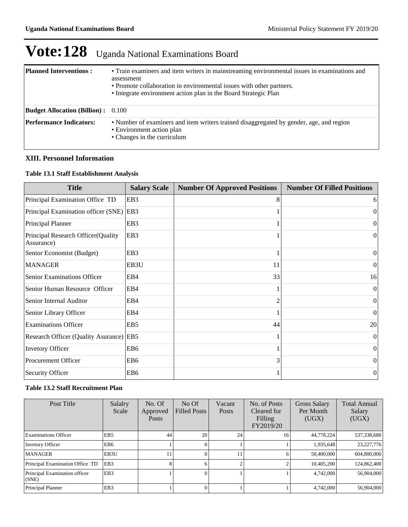| <b>Planned Interventions:</b>             | • Train examiners and item writers in mainstreaming environmental issues in examinations and<br>assessment<br>• Promote collaboration in environmental issues with other partners. |
|-------------------------------------------|------------------------------------------------------------------------------------------------------------------------------------------------------------------------------------|
|                                           | • Integrate environment action plan in the Board Strategic Plan                                                                                                                    |
| <b>Budget Allocation (Billion):</b> 0.100 |                                                                                                                                                                                    |
| <b>Performance Indicators:</b>            | • Number of examiners and item writers trained disaggregated by gender, age, and region<br>• Environment action plan<br>• Changes in the curriculum                                |

#### **XIII. Personnel Information**

#### **Table 13.1 Staff Establishment Analysis**

| <b>Title</b>                                      | <b>Salary Scale</b> | <b>Number Of Approved Positions</b> | <b>Number Of Filled Positions</b> |
|---------------------------------------------------|---------------------|-------------------------------------|-----------------------------------|
| Principal Examination Office TD                   | EB <sub>3</sub>     | 8                                   | 6                                 |
| Principal Examination officer (SNE)               | EB3                 |                                     | 0                                 |
| <b>Principal Planner</b>                          | EB <sub>3</sub>     |                                     | $\Omega$                          |
| Principal Research Officer (Quality<br>Assurance) | EB3                 |                                     | $\theta$                          |
| Senior Economist (Budget)                         | EB <sub>3</sub>     |                                     | $\Omega$                          |
| <b>MANAGER</b>                                    | EB3U                | 11                                  | $\overline{0}$                    |
| Senior Examinations Officer                       | EB4                 | 33                                  | 16                                |
| Senior Human Resource Officer                     | EB4                 |                                     | $\theta$                          |
| Senior Internal Auditor                           | EB4                 | 2                                   | $\Omega$                          |
| Senior Library Officer                            | EB4                 |                                     | 0                                 |
| <b>Examinations Officer</b>                       | EB <sub>5</sub>     | 44                                  | 20                                |
| Research Officer (Quality Asurance) EB5           |                     |                                     | $\Omega$                          |
| <b>Invetory Officer</b>                           | EB <sub>6</sub>     |                                     | $\Omega$                          |
| <b>Procurement Officer</b>                        | EB <sub>6</sub>     | 3                                   | $\overline{0}$                    |
| <b>Security Officer</b>                           | EB <sub>6</sub>     |                                     | $\theta$                          |

#### **Table 13.2 Staff Recruitment Plan**

| Post Title                             | Salalry<br>Scale | No. Of<br>Approved<br><b>Posts</b> | No Of<br><b>Filled Posts</b> | Vacant<br>Posts | No. of Posts<br>Cleared for<br>Filling<br>FY2019/20 | Gross Salary<br>Per Month<br>(UGX) | <b>Total Annual</b><br>Salary<br>(UGX) |
|----------------------------------------|------------------|------------------------------------|------------------------------|-----------------|-----------------------------------------------------|------------------------------------|----------------------------------------|
| <b>Examinations Officer</b>            | EB <sub>5</sub>  | 44                                 | 20                           | 24              | 16                                                  | 44,778,224                         | 537,338,688                            |
| <b>Invetory Officer</b>                | EB6              |                                    |                              |                 |                                                     | 1,935,648                          | 23, 227, 776                           |
| <b>MANAGER</b>                         | EB3U             | 11                                 |                              |                 |                                                     | 50,400,000                         | 604,800,000                            |
| Principal Examination Office TD        | EB <sub>3</sub>  | 8                                  | 61                           |                 |                                                     | 10,405,200                         | 124,862,400                            |
| Principal Examination officer<br>(SNE) | EB <sub>3</sub>  |                                    |                              |                 |                                                     | 4,742,000                          | 56,904,000                             |
| Principal Planner                      | EB <sub>3</sub>  |                                    |                              |                 |                                                     | 4,742,000                          | 56,904,000                             |